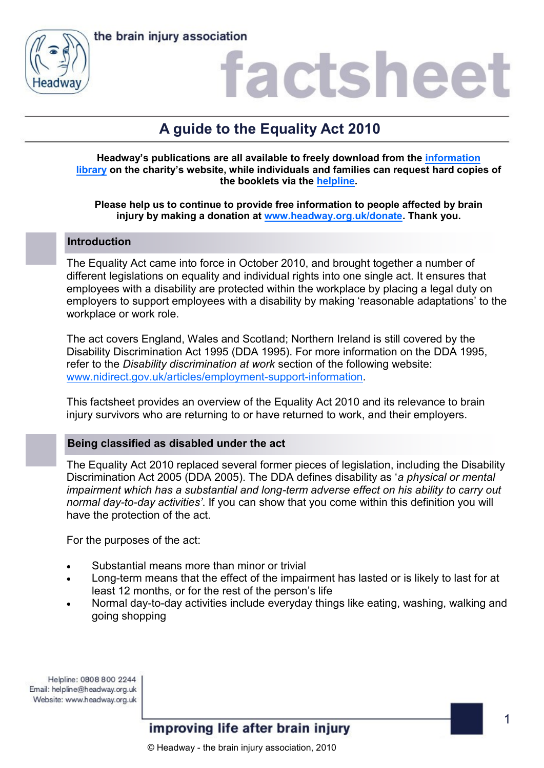



### actshee

### **A guide to the Equality Act 2010**

**Headway's publications are all available to freely download from the [information](https://www.headway.org.uk/about-brain-injury/individuals/information-library/)  [library](https://www.headway.org.uk/about-brain-injury/individuals/information-library/) on the charity's website, while individuals and families can request hard copies of the booklets via the [helpline.](https://www.headway.org.uk/supporting-you/helpline/)**

#### **Please help us to continue to provide free information to people affected by brain injury by making a donation at [www.headway.org.uk/donate.](http://www.headway.org.uk/donate) Thank you.**

#### **Introduction**

The Equality Act came into force in October 2010, and brought together a number of different legislations on equality and individual rights into one single act. It ensures that employees with a disability are protected within the workplace by placing a legal duty on employers to support employees with a disability by making 'reasonable adaptations' to the workplace or work role.

The act covers England, Wales and Scotland; Northern Ireland is still covered by the Disability Discrimination Act 1995 (DDA 1995). For more information on the DDA 1995, refer to the *Disability discrimination at work* section of the following website: [www.nidirect.gov.uk/articles/employment-support-information.](http://www.nidirect.gov.uk/articles/employment-support-information)

This factsheet provides an overview of the Equality Act 2010 and its relevance to brain injury survivors who are returning to or have returned to work, and their employers.

#### **Being classified as disabled under the act**

The Equality Act 2010 replaced several former pieces of legislation, including the Disability Discrimination Act 2005 (DDA 2005). The DDA defines disability as '*a physical or mental impairment which has a substantial and long-term adverse effect on his ability to carry out normal day-to-day activities'*. If you can show that you come within this definition you will have the protection of the act.

For the purposes of the act:

- Substantial means more than minor or trivial
- Long-term means that the effect of the impairment has lasted or is likely to last for at least 12 months, or for the rest of the person's life
- Normal day-to-day activities include everyday things like eating, washing, walking and going shopping

Helpline: 0808 800 2244 Email: helpline@headway.org.uk Website: www.headway.org.uk

improving life after brain injury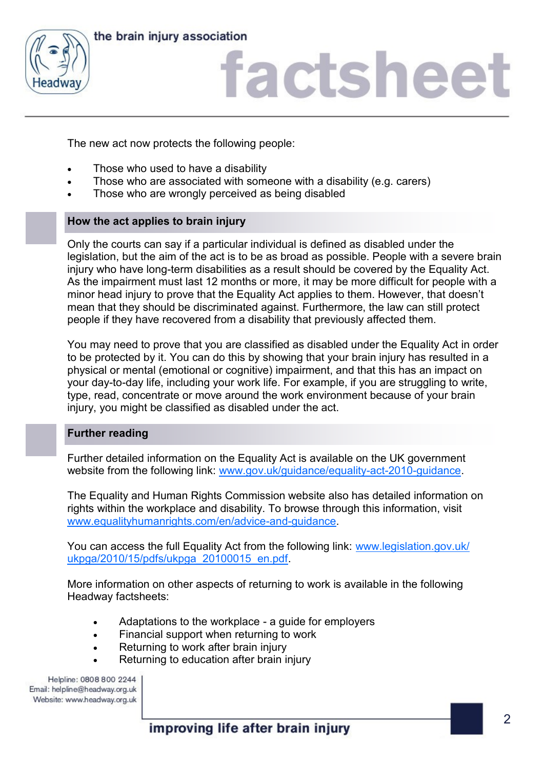

the brain injury association

# factsheet

The new act now protects the following people:

- Those who used to have a disability
- Those who are associated with someone with a disability (e.g. carers)
- Those who are wrongly perceived as being disabled

#### **How the act applies to brain injury**

Only the courts can say if a particular individual is defined as disabled under the legislation, but the aim of the act is to be as broad as possible. People with a severe brain injury who have long-term disabilities as a result should be covered by the Equality Act. As the impairment must last 12 months or more, it may be more difficult for people with a minor head injury to prove that the Equality Act applies to them. However, that doesn't mean that they should be discriminated against. Furthermore, the law can still protect people if they have recovered from a disability that previously affected them.

You may need to prove that you are classified as disabled under the Equality Act in order to be protected by it. You can do this by showing that your brain injury has resulted in a physical or mental (emotional or cognitive) impairment, and that this has an impact on your day-to-day life, including your work life. For example, if you are struggling to write, type, read, concentrate or move around the work environment because of your brain injury, you might be classified as disabled under the act.

#### **Further reading**

Further detailed information on the Equality Act is available on the UK government website from the following link: [www.gov.uk/guidance/equality-act-2010-guidance.](http://www.gov.uk/guidance/equality-act-2010-guidance)

The Equality and Human Rights Commission website also has detailed information on rights within the workplace and disability. To browse through this information, visit [www.equalityhumanrights.com/en/advice-and-guidance.](http://www.equalityhumanrights.com/en/advice-and-guidance)

You can access the full Equality Act from the following link: [www.legislation.gov.uk/](http://www.legislation.gov.uk/ukpga/2010/15/pdfs/ukpga_20100015_en.pdf) [ukpga/2010/15/pdfs/ukpga\\_20100015\\_en.pdf.](http://www.legislation.gov.uk/ukpga/2010/15/pdfs/ukpga_20100015_en.pdf)

More information on other aspects of returning to work is available in the following Headway factsheets:

- Adaptations to the workplace a guide for employers
- Financial support when returning to work
- Returning to work after brain injury
- Returning to education after brain injury

Helpline: 0808 800 2244 Email: helpline@headway.org.uk Website: www.headway.org.uk

improving life after brain injury